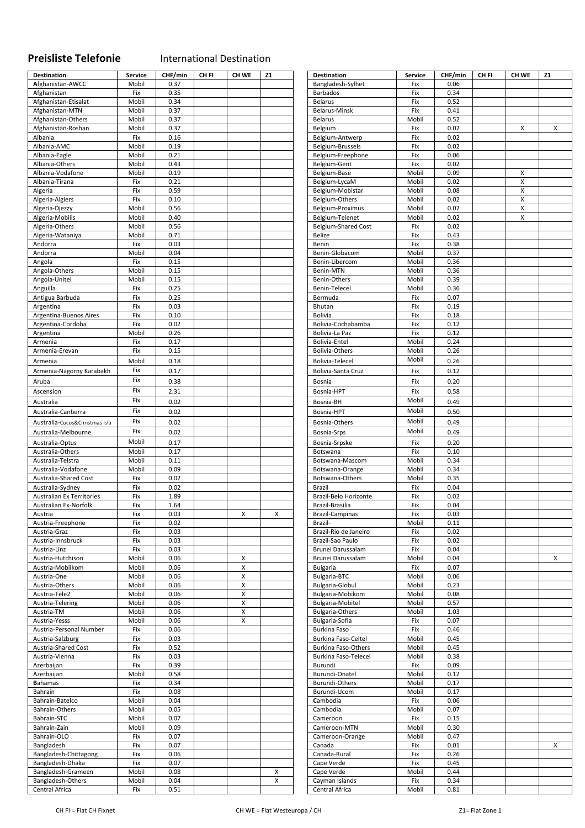## **Preisliste Telefonie**  International Destination

| Destination                    | Service | CHF/min | CH FI | CH WE              | Z1 | <b>Destination</b>         | Service | CHF/min | CH FI | CH WE              | Z1 |
|--------------------------------|---------|---------|-------|--------------------|----|----------------------------|---------|---------|-------|--------------------|----|
| Afghanistan-AWCC               | Mobil   | 0.37    |       |                    |    | Bangladesh-Sylhet          | Fix     | 0.06    |       |                    |    |
| Afghanistan                    | Fix     | 0.35    |       |                    |    | <b>Barbados</b>            | Fix     | 0.34    |       |                    |    |
| Afghanistan-Etisalat           | Mobil   | 0.34    |       |                    |    | <b>Belarus</b>             | Fix     | 0.52    |       |                    |    |
|                                |         |         |       |                    |    |                            |         |         |       |                    |    |
| Afghanistan-MTN                | Mobil   | 0.37    |       |                    |    | Belarus-Minsk              | Fix     | 0.41    |       |                    |    |
| Afghanistan-Others             | Mobil   | 0.37    |       |                    |    | <b>Belarus</b>             | Mobil   | 0.52    |       |                    |    |
| Afghanistan-Roshan             | Mobil   | 0.37    |       |                    |    | Belgium                    | Fix     | 0.02    |       | x                  | х  |
| Albania                        | Fix     | 0.16    |       |                    |    | Belgium-Antwerp            | Fix     | 0.02    |       |                    |    |
| Albania-AMC                    | Mobil   | 0.19    |       |                    |    | Belgium-Brussels           | Fix     | 0.02    |       |                    |    |
| Albania-Eagle                  | Mobil   | 0.21    |       |                    |    | Belgium-Freephone          | Fix     | 0.06    |       |                    |    |
| Albania-Others                 | Mobil   | 0.43    |       |                    |    | Belgium-Gent               | Fix     | 0.02    |       |                    |    |
| Albania-Vodafone               | Mobil   | 0.19    |       |                    |    | Belgium-Base               | Mobil   | 0.09    |       | X                  |    |
| Albania-Tirana                 |         | 0.21    |       |                    |    | Belgium-LycaM              | Mobil   | 0.02    |       | $\pmb{\mathsf{X}}$ |    |
|                                | Fix     |         |       |                    |    |                            |         |         |       |                    |    |
| Algeria                        | Fix     | 0.59    |       |                    |    | Belgium-Mobistar           | Mobil   | 0.08    |       | Χ                  |    |
| Algeria-Algiers                | Fix     | 0.10    |       |                    |    | Belgium-Others             | Mobil   | 0.02    |       | $\pmb{\mathsf{X}}$ |    |
| Algeria-Djezzy                 | Mobil   | 0.56    |       |                    |    | Belgium-Proximus           | Mobil   | 0.07    |       | Χ                  |    |
| Algeria-Mobilis                | Mobil   | 0.40    |       |                    |    | Belgium-Telenet            | Mobil   | 0.02    |       | X                  |    |
| Algeria-Others                 | Mobil   | 0.56    |       |                    |    | <b>Belgium-Shared Cost</b> | Fix     | 0.02    |       |                    |    |
| Algeria-Wataniya               | Mobil   | 0.71    |       |                    |    | Belize                     | Fix     | 0.43    |       |                    |    |
| Andorra                        | Fix     | 0.03    |       |                    |    | Benin                      | Fix     | 0.38    |       |                    |    |
| Andorra                        | Mobil   | 0.04    |       |                    |    | Benin-Globacom             | Mobil   | 0.37    |       |                    |    |
|                                |         |         |       |                    |    |                            |         |         |       |                    |    |
| Angola                         | Fix     | 0.15    |       |                    |    | Benin-Libercom             | Mobil   | 0.36    |       |                    |    |
| Angola-Others                  | Mobil   | 0.15    |       |                    |    | Benin-MTN                  | Mobil   | 0.36    |       |                    |    |
| Angola-Unitel                  | Mobil   | 0.15    |       |                    |    | Benin-Others               | Mobil   | 0.39    |       |                    |    |
| Anguilla                       | Fix     | 0.25    |       |                    |    | Benin-Telecel              | Mobil   | 0.36    |       |                    |    |
| Antigua Barbuda                | Fix     | 0.25    |       |                    |    | Bermuda                    | Fix     | 0.07    |       |                    |    |
| Argentina                      | Fix     | 0.03    |       |                    |    | Bhutan                     | Fix     | 0.19    |       |                    |    |
| Argentina-Buenos Aires         | Fix     | 0.10    |       |                    |    | <b>Bolivia</b>             | Fix     | 0.18    |       |                    |    |
| Argentina-Cordoba              | Fix     | 0.02    |       |                    |    | Bolivia-Cochabamba         | Fix     | 0.12    |       |                    |    |
|                                |         |         |       |                    |    |                            |         |         |       |                    |    |
| Argentina                      | Mobil   | 0.26    |       |                    |    | Bolivia-La Paz             | Fix     | 0.12    |       |                    |    |
| Armenia                        | Fix     | 0.17    |       |                    |    | Bolivia-Entel              | Mobil   | 0.24    |       |                    |    |
| Armenia-Erevan                 | Fix     | 0.15    |       |                    |    | Bolivia-Others             | Mobil   | 0.26    |       |                    |    |
| Armenia                        | Mobil   | 0.18    |       |                    |    | Bolivia-Telecel            | Mobil   | 0.26    |       |                    |    |
| Armenia-Nagorny Karabakh       | Fix     | 0.17    |       |                    |    | Bolivia-Santa Cruz         | Fix     | 0.12    |       |                    |    |
|                                |         |         |       |                    |    |                            |         |         |       |                    |    |
| Aruba                          | Fix     | 0.38    |       |                    |    | Bosnia                     | Fix     | 0.20    |       |                    |    |
| Ascension                      | Fix     | 2.31    |       |                    |    | Bosnia-HPT                 | Fix     | 0.58    |       |                    |    |
| Australia                      | Fix     | 0.02    |       |                    |    | Bosnia-BH                  | Mobil   | 0.49    |       |                    |    |
|                                | Fix     |         |       |                    |    |                            | Mobil   |         |       |                    |    |
| Australia-Canberra             |         | 0.02    |       |                    |    | Bosnia-HPT                 |         | 0.50    |       |                    |    |
| Australia-Cocos&Christmas Isla | Fix     | 0.02    |       |                    |    | Bosnia-Others              | Mobil   | 0.49    |       |                    |    |
| Australia-Melbourne            | Fix     | 0.02    |       |                    |    | Bosnia-Srps                | Mobil   | 0.49    |       |                    |    |
|                                | Mobil   | 0.17    |       |                    |    |                            |         |         |       |                    |    |
| Australia-Optus                |         |         |       |                    |    | Bosnia-Srpske              | Fix     | 0.20    |       |                    |    |
| Australia-Others               | Mobil   | 0.17    |       |                    |    | Botswana                   | Fix     | 0.10    |       |                    |    |
| Australia-Telstra              | Mobil   | 0.11    |       |                    |    | Botswana-Mascom            | Mobil   | 0.34    |       |                    |    |
| Australia-Vodafone             | Mobil   | 0.09    |       |                    |    | Botswana-Orange            | Mobil   | 0.34    |       |                    |    |
| Australia-Shared Cost          | Fix     | 0.02    |       |                    |    | Botswana-Others            | Mobil   | 0.35    |       |                    |    |
| Australia-Sydney               | Fix     | 0.02    |       |                    |    | Brazil                     | Fix     | 0.04    |       |                    |    |
| Australian Ex Territories      | Fix     | 1.89    |       |                    |    | Brazil-Belo Horizonte      | Fix     | 0.02    |       |                    |    |
| Australian Ex-Norfolk          | Fix     | 1.64    |       |                    |    | Brazil-Brasilia            | Fix     | 0.04    |       |                    |    |
|                                | Fix     | 0.03    |       |                    |    | <b>Brazil-Campinas</b>     | Fix     | 0.03    |       |                    |    |
| Austria                        |         |         |       | x                  | X  |                            |         |         |       |                    |    |
| Austria-Freephone              | Fix     | 0.02    |       |                    |    | Brazil-                    | Mobil   | 0.11    |       |                    |    |
| Austria-Graz                   | Fix     | 0.03    |       |                    |    | Brazil-Rio de Janeiro      | Fix     | 0.02    |       |                    |    |
| Austria-Innsbruck              | Fix     | 0.03    |       |                    |    | Brazil-Sao Paulo           | Fix     | 0.02    |       |                    |    |
| Austria-Linz                   | Fix     | 0.03    |       |                    |    | Brunei Darussalam          | Fix     | 0.04    |       |                    |    |
| Austria-Hutchison              | Mobil   | 0.06    |       | X                  |    | Brunei Darussalam          | Mobil   | 0.04    |       |                    | X  |
| Austria-Mobilkom               | Mobil   | 0.06    |       | X                  |    | <b>Bulgaria</b>            | Fix     | 0.07    |       |                    |    |
| Austria-One                    | Mobil   | 0.06    |       | Χ                  |    | Bulgaria-BTC               | Mobil   | 0.06    |       |                    |    |
| Austria-Others                 | Mobil   | 0.06    |       | $\pmb{\mathsf{X}}$ |    | Bulgaria-Globul            | Mobil   | 0.23    |       |                    |    |
|                                |         |         |       |                    |    |                            |         |         |       |                    |    |
| Austria-Tele2                  | Mobil   | 0.06    |       | Χ                  |    | Bulgaria-Mobikom           | Mobil   | 0.08    |       |                    |    |
| Austria-Telering               | Mobil   | 0.06    |       | Χ                  |    | Bulgaria-Mobitel           | Mobil   | 0.57    |       |                    |    |
| Austria-TM                     | Mobil   | 0.06    |       | Χ                  |    | <b>Bulgaria-Others</b>     | Mobil   | 1.03    |       |                    |    |
| Austria-Yesss                  | Mobil   | 0.06    |       | X                  |    | Bulgaria-Sofia             | Fix     | 0.07    |       |                    |    |
| Austria-Personal Number        | Fix     | 0.06    |       |                    |    | Burkina Faso               | Fix     | 0.46    |       |                    |    |
| Austria-Salzburg               | Fix     | 0.03    |       |                    |    | Burkina Faso-Celtel        | Mobil   | 0.45    |       |                    |    |
| Austria-Shared Cost            | Fix     | 0.52    |       |                    |    | Burkina Faso-Others        | Mobil   | 0.45    |       |                    |    |
| Austria-Vienna                 | Fix     | 0.03    |       |                    |    | Burkina Faso-Telecel       | Mobil   | 0.38    |       |                    |    |
|                                |         |         |       |                    |    |                            |         |         |       |                    |    |
| Azerbaijan                     | Fix     | 0.39    |       |                    |    | Burundi                    | Fix     | 0.09    |       |                    |    |
| Azerbaijan                     | Mobil   | 0.58    |       |                    |    | Burundi-Onatel             | Mobil   | 0.12    |       |                    |    |
| <b>Bahamas</b>                 | Fix     | 0.34    |       |                    |    | Burundi-Others             | Mobil   | 0.17    |       |                    |    |
| Bahrain                        | Fix     | 0.08    |       |                    |    | Burundi-Ucom               | Mobil   | 0.17    |       |                    |    |
| Bahrain-Batelco                | Mobil   | 0.04    |       |                    |    | Cambodia                   | Fix     | 0.06    |       |                    |    |
| Bahrain-Others                 | Mobil   | 0.05    |       |                    |    | Cambodia                   | Mobil   | 0.07    |       |                    |    |
| Bahrain-STC                    | Mobil   | 0.07    |       |                    |    | Cameroon                   | Fix     | 0.15    |       |                    |    |
| Bahrain-Zain                   | Mobil   | 0.09    |       |                    |    | Cameroon-MTN               | Mobil   | 0.30    |       |                    |    |
|                                |         |         |       |                    |    |                            |         |         |       |                    |    |
| Bahrain-OLO                    | Fix     | 0.07    |       |                    |    | Cameroon-Orange            | Mobil   | 0.47    |       |                    |    |
| Bangladesh                     | Fix     | 0.07    |       |                    |    | Canada                     | Fix     | 0.01    |       |                    | X  |
| Bangladesh-Chittagong          | Fix     | 0.06    |       |                    |    | Canada-Rural               | Fix     | 0.26    |       |                    |    |
| Bangladesh-Dhaka               | Fix     | 0.07    |       |                    |    | Cape Verde                 | Fix     | 0.45    |       |                    |    |
| Bangladesh-Grameen             | Mobil   | 0.08    |       |                    | X  | Cape Verde                 | Mobil   | 0.44    |       |                    |    |
| Bangladesh-Others              | Mobil   | 0.04    |       |                    | X  | Cayman Islands             | Fix     | 0.34    |       |                    |    |
| Central Africa                 | Fix     | 0.51    |       |                    |    | Central Africa             | Mobil   | 0.81    |       |                    |    |
|                                |         |         |       |                    |    |                            |         |         |       |                    |    |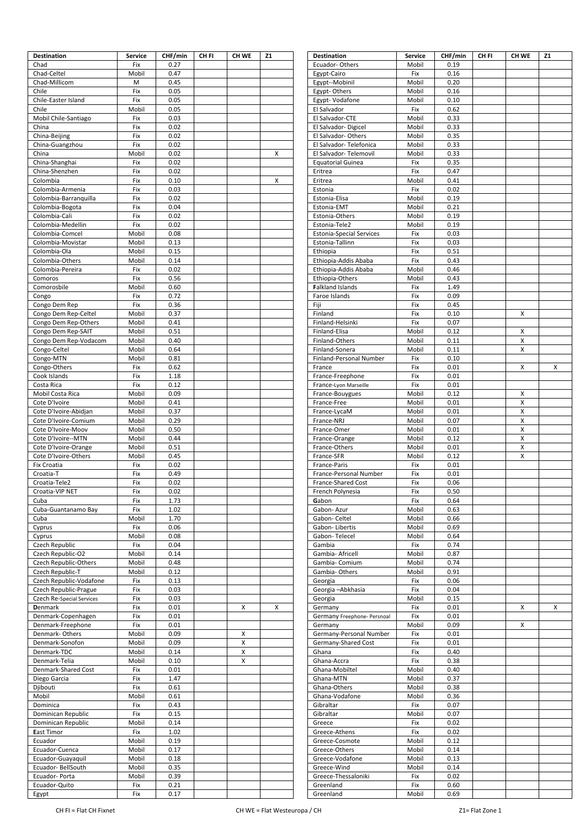| <b>Destination</b>               | <b>Service</b> | CHF/min      | CH FI | CH WE  | <b>Z1</b> | <b>Destination</b>                     | <b>Service</b> | CHF/min      | CH FI | CH WE | <b>Z1</b> |
|----------------------------------|----------------|--------------|-------|--------|-----------|----------------------------------------|----------------|--------------|-------|-------|-----------|
| Chad                             | Fix            | 0.27         |       |        |           | Ecuador-Others                         | Mobil          | 0.19         |       |       |           |
| Chad-Celtel                      | Mobil          | 0.47         |       |        |           | Egypt-Cairo                            | Fix            | 0.16         |       |       |           |
| Chad-Millicom                    | M              | 0.45         |       |        |           | Egypt--Mobinil                         | Mobil          | 0.20         |       |       |           |
| Chile                            | Fix            | 0.05         |       |        |           | Egypt-Others                           | Mobil          | 0.16         |       |       |           |
| Chile-Easter Island              | Fix            | 0.05         |       |        |           | Egypt-Vodafone                         | Mobil          | 0.10         |       |       |           |
| Chile                            | Mobil          | 0.05         |       |        |           | El Salvador                            | Fix            | 0.62         |       |       |           |
| Mobil Chile-Santiago             | Fix            | 0.03         |       |        |           | El Salvador-CTE                        | Mobil          | 0.33         |       |       |           |
| China                            | Fix            | 0.02         |       |        |           | El Salvador-Digicel                    | Mobil          | 0.33         |       |       |           |
| China-Beijing                    | Fix            | 0.02         |       |        |           | El Salvador-Others                     | Mobil          | 0.35         |       |       |           |
| China-Guangzhou                  | Fix            | 0.02         |       |        |           | El Salvador-Telefonica                 | Mobil          | 0.33         |       |       |           |
| China                            | Mobil          | 0.02         |       |        | X         | El Salvador-Telemovil                  | Mobil          | 0.33         |       |       |           |
| China-Shanghai                   | Fix            | 0.02         |       |        |           | <b>Equatorial Guinea</b>               | Fix            | 0.35         |       |       |           |
| China-Shenzhen                   | Fix            | 0.02         |       |        |           | Eritrea                                | Fix            | 0.47         |       |       |           |
| Colombia                         | Fix            | 0.10         |       |        | X         | Eritrea                                | Mobil          | 0.41         |       |       |           |
| Colombia-Armenia                 | Fix            | 0.03         |       |        |           | Estonia                                | Fix            | 0.02         |       |       |           |
|                                  | Fix            | 0.02         |       |        |           | Estonia-Elisa                          | Mobil          | 0.19         |       |       |           |
| Colombia-Barranquilla            | Fix            | 0.04         |       |        |           |                                        |                | 0.21         |       |       |           |
| Colombia-Bogota                  |                |              |       |        |           | Estonia-EMT                            | Mobil          |              |       |       |           |
| Colombia-Cali                    | Fix            | 0.02         |       |        |           | Estonia-Others                         | Mobil          | 0.19         |       |       |           |
| Colombia-Medellin                | Fix            | 0.02         |       |        |           | Estonia-Tele2                          | Mobil          | 0.19         |       |       |           |
| Colombia-Comcel                  | Mobil          | 0.08         |       |        |           | <b>Estonia-Special Services</b>        | Fix            | 0.03         |       |       |           |
| Colombia-Movistar                | Mobil          | 0.13         |       |        |           | Estonia-Tallinn                        | Fix            | 0.03         |       |       |           |
| Colombia-Ola                     | Mobil          | 0.15         |       |        |           | Ethiopia                               | Fix            | 0.51         |       |       |           |
| Colombia-Others                  | Mobil          | 0.14         |       |        |           | Ethiopia-Addis Ababa                   | Fix            | 0.43         |       |       |           |
| Colombia-Pereira                 | Fix            | 0.02         |       |        |           | Ethiopia-Addis Ababa                   | Mobil          | 0.46         |       |       |           |
| Comoros                          | Fix            | 0.56         |       |        |           | Ethiopia-Others                        | Mobil          | 0.43         |       |       |           |
| Comorosbile                      | Mobil          | 0.60         |       |        |           | <b>Falkland Islands</b>                | Fix            | 1.49         |       |       |           |
| Congo                            | Fix            | 0.72         |       |        |           | Faroe Islands                          | Fix            | 0.09         |       |       |           |
| Congo Dem Rep                    | Fix            | 0.36         |       |        |           | Fiji                                   | Fix            | 0.45         |       |       |           |
| Congo Dem Rep-Celtel             | Mobil          | 0.37         |       |        |           | Finland                                | Fix            | 0.10         |       | x     |           |
| Congo Dem Rep-Others             | Mobil          | 0.41         |       |        |           | Finland-Helsinki                       | Fix            | 0.07         |       |       |           |
| Congo Dem Rep-SAIT               | Mobil          | 0.51         |       |        |           | Finland-Elisa                          | Mobil          | 0.12         |       | x     |           |
| Congo Dem Rep-Vodacom            | Mobil          | 0.40         |       |        |           | Finland-Others                         | Mobil          | 0.11         |       | X     |           |
| Congo-Celtel                     | Mobil          | 0.64         |       |        |           | Finland-Sonera                         | Mobil          | 0.11         |       | X     |           |
| Congo-MTN                        | Mobil          | 0.81         |       |        |           | Finland-Personal Number                | Fix            | 0.10         |       |       |           |
| Congo-Others                     | Fix            | 0.62         |       |        |           | France                                 | Fix            | 0.01         |       | X     | X         |
| Cook Islands                     | Fix            | 1.18         |       |        |           | France-Freephone                       | Fix            | 0.01         |       |       |           |
| Costa Rica                       | Fix            | 0.12         |       |        |           | France-Lyon Marseille                  | Fix            | 0.01         |       |       |           |
| Mobil Costa Rica                 | Mobil          | 0.09         |       |        |           | France-Bouygues                        | Mobil          | 0.12         |       | X     |           |
| Cote D'Ivoire                    | Mobil          | 0.41         |       |        |           | France-Free                            | Mobil          | 0.01         |       | X     |           |
| Cote D'Ivoire-Abidjan            | Mobil          | 0.37         |       |        |           | France-LycaM                           | Mobil          | 0.01         |       | X     |           |
| Cote D'Ivoire-Comium             | Mobil          | 0.29         |       |        |           | France-NRJ                             | Mobil          | 0.07         |       | X     |           |
| Cote D'Ivoire-Moov               | Mobil          | 0.50         |       |        |           | France-Omer                            | Mobil          | 0.01         |       | X     |           |
| Cote D'Ivoire--MTN               | Mobil          | 0.44         |       |        |           | France-Orange                          | Mobil          | 0.12         |       | X     |           |
| Cote D'Ivoire-Orange             | Mobil          | 0.51         |       |        |           | France-Others                          | Mobil          | 0.01         |       | X     |           |
| Cote D'Ivoire-Others             | Mobil          | 0.45         |       |        |           | France-SFR                             | Mobil          | 0.12         |       | X     |           |
| <b>Fix Croatia</b>               | Fix            | 0.02         |       |        |           | France-Paris                           | Fix            | 0.01         |       |       |           |
| Croatia-T                        | Fix            | 0.49         |       |        |           | France-Personal Number                 | Fix            | 0.01         |       |       |           |
| Croatia-Tele2                    | Fix            | 0.02         |       |        |           | France-Shared Cost                     | Fix            | 0.06         |       |       |           |
| Croatia-VIP NET                  | Fix            | 0.02         |       |        |           | French Polynesia                       | Fix            | 0.50         |       |       |           |
| Cuba                             | Fix            | 1.73         |       |        |           | Gabon                                  | Fix            | 0.64         |       |       |           |
| Cuba-Guantanamo Bay              | Fix            | 1.02         |       |        |           | Gabon-Azur                             | Mobil          | 0.63         |       |       |           |
| Cuba                             | Mobil          | 1.70         |       |        |           | Gabon- Celtel                          | Mobil          | 0.66         |       |       |           |
| Cyprus                           | Fix            | 0.06         |       |        |           | Gabon-Libertis                         | Mobil          | 0.69         |       |       |           |
| Cyprus                           | Mobil          | 0.08         |       |        |           | Gabon-Telecel                          | Mobil          | 0.64         |       |       |           |
| Czech Republic                   | Fix            | 0.04         |       |        |           | Gambia                                 | Fix            | 0.74         |       |       |           |
| Czech Republic-O2                | Mobil          | 0.14         |       |        |           | Gambia- Africell                       | Mobil          | 0.87         |       |       |           |
| <b>Czech Republic-Others</b>     | Mobil          | 0.48         |       |        |           | Gambia- Comium                         | Mobil          | 0.74         |       |       |           |
| Czech Republic-T                 | Mobil          | 0.12         |       |        |           | Gambia-Others                          | Mobil          | 0.91         |       |       |           |
| Czech Republic-Vodafone          | Fix            | 0.13         |       |        |           | Georgia                                | Fix            | 0.06         |       |       |           |
| Czech Republic-Prague            | Fix            | 0.03         |       |        |           | Georgia-Abkhasia                       | Fix            | 0.04         |       |       |           |
| <b>Czech Re-Special Services</b> | Fix            | 0.03         |       |        |           | Georgia                                | Mobil          | 0.15         |       |       |           |
|                                  |                |              |       |        |           |                                        |                |              |       |       |           |
| <b>D</b> enmark                  | Fix<br>Fix     | 0.01<br>0.01 |       | X      | X         | Germany<br>Germany Freephone- Persnoal | Fix<br>Fix     | 0.01<br>0.01 |       | x     | X         |
| Denmark-Copenhagen               |                |              |       |        |           |                                        |                |              |       |       |           |
| Denmark-Freephone                | Fix            | 0.01         |       |        |           | Germany                                | Mobil          | 0.09         |       | х     |           |
| Denmark-Others                   | Mobil          | 0.09         |       | X      |           | Germany-Personal Number                | Fix            | 0.01         |       |       |           |
| Denmark-Sonofon                  | Mobil<br>Mobil | 0.09<br>0.14 |       | X<br>X |           | Germany-Shared Cost                    | Fix<br>Fix     | 0.01<br>0.40 |       |       |           |
| Denmark-TDC                      |                |              |       |        |           | Ghana                                  |                |              |       |       |           |
| Denmark-Telia                    | Mobil          | 0.10         |       | X      |           | Ghana-Accra                            | Fix            | 0.38         |       |       |           |
| Denmark-Shared Cost              | Fix            | 0.01         |       |        |           | Ghana-Mobiltel                         | Mobil          | 0.40         |       |       |           |
| Diego Garcia                     | Fix            | 1.47         |       |        |           | Ghana-MTN                              | Mobil          | 0.37         |       |       |           |
| Djibouti                         | Fix            | 0.61         |       |        |           | Ghana-Others                           | Mobil          | 0.38         |       |       |           |
| Mobil                            | Mobil          | 0.61         |       |        |           | Ghana-Vodafone                         | Mobil          | 0.36         |       |       |           |
| Dominica                         | Fix            | 0.43         |       |        |           | Gibraltar                              | Fix            | 0.07         |       |       |           |
| Dominican Republic               | Fix            | 0.15         |       |        |           | Gibraltar                              | Mobil          | 0.07         |       |       |           |
| Dominican Republic               | Mobil          | 0.14         |       |        |           | Greece                                 | Fix            | 0.02         |       |       |           |
| <b>East Timor</b>                | Fix            | 1.02         |       |        |           | Greece-Athens                          | Fix            | 0.02         |       |       |           |
| Ecuador                          | Mobil          | 0.19         |       |        |           | Greece-Cosmote                         | Mobil          | 0.12         |       |       |           |
| Ecuador-Cuenca                   | Mobil          | 0.17         |       |        |           | Greece-Others                          | Mobil          | 0.14         |       |       |           |
| Ecuador-Guayaquil                | Mobil          | 0.18         |       |        |           | Greece-Vodafone                        | Mobil          | 0.13         |       |       |           |
| Ecuador- BellSouth               | Mobil          | 0.35         |       |        |           | Greece-Wind                            | Mobil          | 0.14         |       |       |           |
| Ecuador-Porta                    | Mobil          | 0.39         |       |        |           | Greece-Thessaloniki                    | Fix            | 0.02         |       |       |           |
| Ecuador-Quito                    | Fix            | 0.21         |       |        |           | Greenland                              | Fix            | 0.60         |       |       |           |
| Egypt                            | Fix            | 0.17         |       |        |           | Greenland                              | Mobil          | 0.69         |       |       |           |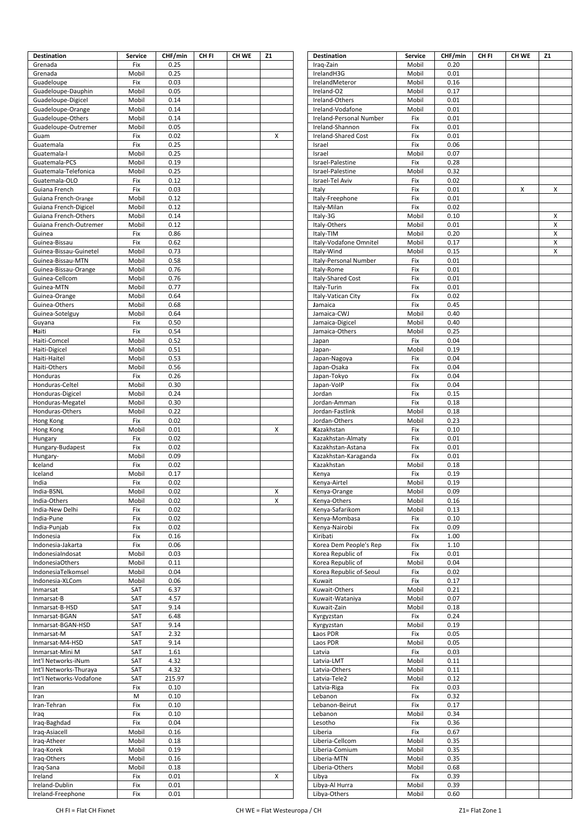| <b>Destination</b>              | <b>Service</b> | CHF/min      | CH <sub>FI</sub> | CH WE | Z1 | <b>Destination</b>                | <b>Service</b> | CHF/min      | CH FI | CH WE | Z1 |
|---------------------------------|----------------|--------------|------------------|-------|----|-----------------------------------|----------------|--------------|-------|-------|----|
| Grenada                         | Fix            | 0.25         |                  |       |    | Iraq-Zain                         | Mobil          | 0.20         |       |       |    |
| Grenada<br>Guadeloupe           | Mobil<br>Fix   | 0.25<br>0.03 |                  |       |    | IrelandH3G                        | Mobil<br>Mobil | 0.01<br>0.16 |       |       |    |
| Guadeloupe-Dauphin              | Mobil          | 0.05         |                  |       |    | IrelandMeteror<br>Ireland-O2      | Mobil          | 0.17         |       |       |    |
| Guadeloupe-Digicel              | Mobil          | 0.14         |                  |       |    | Ireland-Others                    | Mobil          | 0.01         |       |       |    |
| Guadeloupe-Orange               | Mobil          | 0.14         |                  |       |    | Ireland-Vodafone                  | Mobil          | 0.01         |       |       |    |
| Guadeloupe-Others               | Mobil          | 0.14         |                  |       |    | Ireland-Personal Number           | Fix            | 0.01         |       |       |    |
| Guadeloupe-Outremer             | Mobil          | 0.05         |                  |       |    | Ireland-Shannon                   | Fix            | 0.01         |       |       |    |
| Guam                            | Fix            | 0.02         |                  |       | X  | Ireland-Shared Cost               | Fix            | 0.01         |       |       |    |
| Guatemala                       | Fix            | 0.25         |                  |       |    | Israel                            | Fix            | 0.06         |       |       |    |
| Guatemala-l                     | Mobil          | 0.25         |                  |       |    | Israel                            | Mobil          | 0.07         |       |       |    |
| Guatemala-PCS                   | Mobil          | 0.19         |                  |       |    | Israel-Palestine                  | Fix            | 0.28         |       |       |    |
| Guatemala-Telefonica            | Mobil          | 0.25         |                  |       |    | Israel-Palestine                  | Mobil          | 0.32         |       |       |    |
| Guatemala-OLO<br>Guiana French  | Fix<br>Fix     | 0.12<br>0.03 |                  |       |    | Israel-Tel Aviv<br>Italy          | Fix<br>Fix     | 0.02<br>0.01 |       | x     | X  |
| Guiana French-Orange            | Mobil          | 0.12         |                  |       |    | Italy-Freephone                   | Fix            | 0.01         |       |       |    |
| Guiana French-Digicel           | Mobil          | 0.12         |                  |       |    | Italy-Milan                       | Fix            | 0.02         |       |       |    |
| Guiana French-Others            | Mobil          | 0.14         |                  |       |    | Italy-3G                          | Mobil          | 0.10         |       |       | х  |
| Guiana French-Outremer          | Mobil          | 0.12         |                  |       |    | Italy-Others                      | Mobil          | 0.01         |       |       | X  |
| Guinea                          | Fix            | 0.86         |                  |       |    | Italy-TIM                         | Mobil          | 0.20         |       |       | X  |
| Guinea-Bissau                   | Fix            | 0.62         |                  |       |    | Italy-Vodafone Omnitel            | Mobil          | 0.17         |       |       | X  |
| Guinea-Bissau-Guinetel          | Mobil          | 0.73         |                  |       |    | Italy-Wind                        | Mobil          | 0.15         |       |       | X  |
| Guinea-Bissau-MTN               | Mobil          | 0.58         |                  |       |    | Italy-Personal Number             | Fix            | 0.01         |       |       |    |
| Guinea-Bissau-Orange            | Mobil          | 0.76         |                  |       |    | Italy-Rome                        | Fix            | 0.01         |       |       |    |
| Guinea-Cellcom                  | Mobil          | 0.76<br>0.77 |                  |       |    | <b>Italy-Shared Cost</b>          | Fix            | 0.01         |       |       |    |
| Guinea-MTN                      | Mobil<br>Mobil | 0.64         |                  |       |    | Italy-Turin<br>Italy-Vatican City | Fix<br>Fix     | 0.01<br>0.02 |       |       |    |
| Guinea-Orange<br>Guinea-Others  | Mobil          | 0.68         |                  |       |    | Jamaica                           | Fix            | 0.45         |       |       |    |
| Guinea-Sotelguy                 | Mobil          | 0.64         |                  |       |    | Jamaica-CWJ                       | Mobil          | 0.40         |       |       |    |
| Guyana                          | Fix            | 0.50         |                  |       |    | Jamaica-Digicel                   | Mobil          | 0.40         |       |       |    |
| Haiti                           | Fix            | 0.54         |                  |       |    | Jamaica-Others                    | Mobil          | 0.25         |       |       |    |
| Haiti-Comcel                    | Mobil          | 0.52         |                  |       |    | Japan                             | Fix            | 0.04         |       |       |    |
| Haiti-Digicel                   | Mobil          | 0.51         |                  |       |    | Japan-                            | Mobil          | 0.19         |       |       |    |
| Haiti-Haitel                    | Mobil          | 0.53         |                  |       |    | Japan-Nagoya                      | Fix            | 0.04         |       |       |    |
| Haiti-Others                    | Mobil          | 0.56         |                  |       |    | Japan-Osaka                       | Fix            | 0.04         |       |       |    |
| Honduras                        | Fix            | 0.26         |                  |       |    | Japan-Tokyo                       | Fix            | 0.04         |       |       |    |
| Honduras-Celtel                 | Mobil          | 0.30         |                  |       |    | Japan-VoIP                        | Fix            | 0.04         |       |       |    |
| Honduras-Digicel                | Mobil          | 0.24         |                  |       |    | Jordan                            | Fix            | 0.15         |       |       |    |
| Honduras-Megatel                | Mobil          | 0.30         |                  |       |    | Jordan-Amman                      | Fix            | 0.18         |       |       |    |
| Honduras-Others<br>Hong Kong    | Mobil<br>Fix   | 0.22<br>0.02 |                  |       |    | Jordan-Fastlink<br>Jordan-Others  | Mobil<br>Mobil | 0.18<br>0.23 |       |       |    |
| Hong Kong                       | Mobil          | 0.01         |                  |       | X  | Kazakhstan                        | Fix            | 0.10         |       |       |    |
| Hungary                         | Fix            | 0.02         |                  |       |    | Kazakhstan-Almaty                 | Fix            | 0.01         |       |       |    |
| Hungary-Budapest                | Fix            | 0.02         |                  |       |    | Kazakhstan-Astana                 | Fix            | 0.01         |       |       |    |
| Hungary-                        | Mobil          | 0.09         |                  |       |    | Kazakhstan-Karaganda              | Fix            | 0.01         |       |       |    |
| Iceland                         | Fix            | 0.02         |                  |       |    | Kazakhstan                        | Mobil          | 0.18         |       |       |    |
| Iceland                         | Mobil          | 0.17         |                  |       |    | Kenya                             | Fix            | 0.19         |       |       |    |
| India                           | Fix            | 0.02         |                  |       |    | Kenya-Airtel                      | Mobil          | 0.19         |       |       |    |
| India-BSNL                      | Mobil          | 0.02         |                  |       | X  | Kenya-Orange                      | Mobil          | 0.09         |       |       |    |
| India-Others                    | Mobil          | 0.02         |                  |       | X  | Kenya-Others                      | Mobil          | 0.16         |       |       |    |
| India-New Delhi<br>India-Pune   | Fix            | 0.02<br>0.02 |                  |       |    | Kenya-Safarikom<br>Kenya-Mombasa  | Mobil<br>Fix   | 0.13<br>0.10 |       |       |    |
| India-Punjab                    | Fix<br>Fix     | 0.02         |                  |       |    | Kenya-Nairobi                     | Fix            | 0.09         |       |       |    |
| Indonesia                       | Fix            | 0.16         |                  |       |    | Kiribati                          | Fix            | 1.00         |       |       |    |
| Indonesia-Jakarta               | Fix            | 0.06         |                  |       |    | Korea Dem People's Rep            | Fix            | 1.10         |       |       |    |
| IndonesiaIndosat                | Mobil          | 0.03         |                  |       |    | Korea Republic of                 | Fix            | 0.01         |       |       |    |
| IndonesiaOthers                 | Mobil          | 0.11         |                  |       |    | Korea Republic of                 | Mobil          | 0.04         |       |       |    |
| IndonesiaTelkomsel              | Mobil          | 0.04         |                  |       |    | Korea Republic of-Seoul           | Fix            | 0.02         |       |       |    |
| Indonesia-XLCom                 | Mobil          | 0.06         |                  |       |    | Kuwait                            | Fix            | 0.17         |       |       |    |
| Inmarsat                        | SAT            | 6.37         |                  |       |    | Kuwait-Others                     | Mobil          | 0.21         |       |       |    |
| Inmarsat-B                      | SAT            | 4.57         |                  |       |    | Kuwait-Wataniya                   | Mobil          | 0.07         |       |       |    |
| Inmarsat-B-HSD<br>Inmarsat-BGAN | SAT<br>SAT     | 9.14<br>6.48 |                  |       |    | Kuwait-Zain                       | Mobil<br>Fix   | 0.18<br>0.24 |       |       |    |
| Inmarsat-BGAN-HSD               | SAT            | 9.14         |                  |       |    | Kyrgyzstan<br>Kyrgyzstan          | Mobil          | 0.19         |       |       |    |
| Inmarsat-M                      | SAT            | 2.32         |                  |       |    | Laos PDR                          | Fix            | 0.05         |       |       |    |
| Inmarsat-M4-HSD                 | SAT            | 9.14         |                  |       |    | Laos PDR                          | Mobil          | 0.05         |       |       |    |
| Inmarsat-Mini M                 | SAT            | 1.61         |                  |       |    | Latvia                            | Fix            | 0.03         |       |       |    |
| Int'l Networks-iNum             | SAT            | 4.32         |                  |       |    | Latvia-LMT                        | Mobil          | 0.11         |       |       |    |
| Int'l Networks-Thuraya          | SAT            | 4.32         |                  |       |    | Latvia-Others                     | Mobil          | 0.11         |       |       |    |
| Int'l Networks-Vodafone         | SAT            | 215.97       |                  |       |    | Latvia-Tele2                      | Mobil          | 0.12         |       |       |    |
| Iran                            | Fix            | 0.10         |                  |       |    | Latvia-Riga                       | Fix            | 0.03         |       |       |    |
| Iran                            | M              | 0.10         |                  |       |    | Lebanon                           | Fix            | 0.32         |       |       |    |
| Iran-Tehran                     | Fix            | 0.10         |                  |       |    | Lebanon-Beirut                    | Fix            | 0.17         |       |       |    |
| Iraq                            | Fix            | 0.10         |                  |       |    | Lebanon                           | Mobil          | 0.34         |       |       |    |
| Iraq-Baghdad<br>Iraq-Asiacell   | Fix<br>Mobil   | 0.04<br>0.16 |                  |       |    | Lesotho<br>Liberia                | Fix<br>Fix     | 0.36<br>0.67 |       |       |    |
| Iraq-Atheer                     | Mobil          | 0.18         |                  |       |    | Liberia-Cellcom                   | Mobil          | 0.35         |       |       |    |
| Iraq-Korek                      | Mobil          | 0.19         |                  |       |    | Liberia-Comium                    | Mobil          | 0.35         |       |       |    |
| Iraq-Others                     | Mobil          | 0.16         |                  |       |    | Liberia-MTN                       | Mobil          | 0.35         |       |       |    |
| Iraq-Sana                       | Mobil          | 0.18         |                  |       |    | Liberia-Others                    | Mobil          | 0.68         |       |       |    |
| Ireland                         | Fix            | 0.01         |                  |       | X  | Libya                             | Fix            | 0.39         |       |       |    |
| Ireland-Dublin                  | Fix            | 0.01         |                  |       |    | Libya-Al Hurra                    | Mobil          | 0.39         |       |       |    |
| Ireland-Freephone               | Fix            | 0.01         |                  |       |    | Libya-Others                      | Mobil          | 0.60         |       |       |    |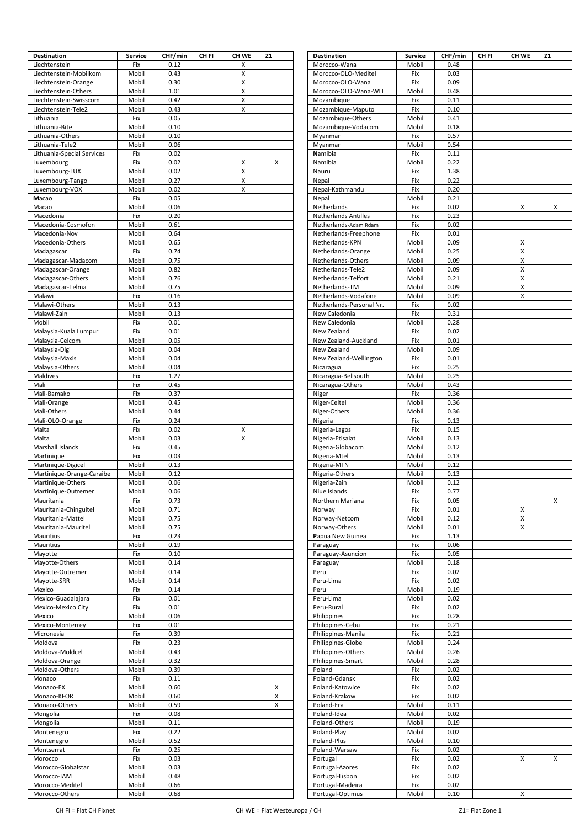| <b>Destination</b>         | <b>Service</b> | CHF/min | CH <sub>FI</sub> | CH WE          | Z1                 | <b>Destination</b>          | <b>Service</b> | CHF/min | CH <sub>FI</sub> | CH WE | <b>Z1</b> |
|----------------------------|----------------|---------|------------------|----------------|--------------------|-----------------------------|----------------|---------|------------------|-------|-----------|
| Liechtenstein              | Fix            | 0.12    |                  | Χ              |                    | Morocco-Wana                | Mobil          | 0.48    |                  |       |           |
| Liechtenstein-Mobilkom     | Mobil          | 0.43    |                  | X              |                    | Morocco-OLO-Meditel         | Fix            | 0.03    |                  |       |           |
| Liechtenstein-Orange       | Mobil          | 0.30    |                  | X              |                    | Morocco-OLO-Wana            | Fix            | 0.09    |                  |       |           |
| Liechtenstein-Others       | Mobil          | 1.01    |                  | X              |                    | Morocco-OLO-Wana-WLL        | Mobil          | 0.48    |                  |       |           |
| Liechtenstein-Swisscom     | Mobil          | 0.42    |                  | X              |                    | Mozambique                  | Fix            | 0.11    |                  |       |           |
| Liechtenstein-Tele2        | Mobil          | 0.43    |                  | Χ              |                    | Mozambique-Maputo           | Fix            | 0.10    |                  |       |           |
| Lithuania                  | Fix            | 0.05    |                  |                |                    | Mozambique-Others           | Mobil          | 0.41    |                  |       |           |
| Lithuania-Bite             | Mobil          | 0.10    |                  |                |                    | Mozambique-Vodacom          | Mobil          | 0.18    |                  |       |           |
| Lithuania-Others           | Mobil          | 0.10    |                  |                |                    | Myanmar                     | Fix            | 0.57    |                  |       |           |
| Lithuania-Tele2            | Mobil          | 0.06    |                  |                |                    | Myanmar                     | Mobil          | 0.54    |                  |       |           |
|                            |                | 0.02    |                  |                |                    |                             |                | 0.11    |                  |       |           |
| Lithuania-Special Services | Fix            |         |                  |                |                    | Namibia                     | Fix            |         |                  |       |           |
| Luxembourg                 | Fix            | 0.02    |                  | Χ              | X                  | Namibia                     | Mobil          | 0.22    |                  |       |           |
| Luxembourg-LUX             | Mobil          | 0.02    |                  | $\pmb{\times}$ |                    | Nauru                       | Fix            | 1.38    |                  |       |           |
| Luxembourg-Tango           | Mobil          | 0.27    |                  | X              |                    | Nepal                       | Fix            | 0.22    |                  |       |           |
| Luxembourg-VOX             | Mobil          | 0.02    |                  | X              |                    | Nepal-Kathmandu             | Fix            | 0.20    |                  |       |           |
| Macao                      | Fix            | 0.05    |                  |                |                    | Nepal                       | Mobil          | 0.21    |                  |       |           |
| Macao                      | Mobil          | 0.06    |                  |                |                    | Netherlands                 | Fix            | 0.02    |                  | х     | Χ         |
| Macedonia                  | Fix            | 0.20    |                  |                |                    | <b>Netherlands Antilles</b> | Fix            | 0.23    |                  |       |           |
| Macedonia-Cosmofon         | Mobil          | 0.61    |                  |                |                    | Netherlands-Adam Rdam       | Fix            | 0.02    |                  |       |           |
| Macedonia-Nov              | Mobil          | 0.64    |                  |                |                    | Netherlands-Freephone       | Fix            | 0.01    |                  |       |           |
| Macedonia-Others           | Mobil          | 0.65    |                  |                |                    | Netherlands-KPN             | Mobil          | 0.09    |                  | X     |           |
| Madagascar                 | Fix            | 0.74    |                  |                |                    | Netherlands-Orange          | Mobil          | 0.25    |                  | Χ     |           |
| Madagascar-Madacom         | Mobil          | 0.75    |                  |                |                    | Netherlands-Others          | Mobil          | 0.09    |                  | X     |           |
| Madagascar-Orange          | Mobil          | 0.82    |                  |                |                    | Netherlands-Tele2           | Mobil          | 0.09    |                  | X     |           |
| Madagascar-Others          | Mobil          | 0.76    |                  |                |                    | Netherlands-Telfort         | Mobil          | 0.21    |                  | X     |           |
| Madagascar-Telma           | Mobil          | 0.75    |                  |                |                    | Netherlands-TM              | Mobil          | 0.09    |                  | X     |           |
| Malawi                     | Fix            | 0.16    |                  |                |                    | Netherlands-Vodafone        | Mobil          | 0.09    |                  | X     |           |
| Malawi-Others              | Mobil          | 0.13    |                  |                |                    | Netherlands-Personal Nr.    | Fix            | 0.02    |                  |       |           |
|                            |                |         |                  |                |                    |                             |                |         |                  |       |           |
| Malawi-Zain                | Mobil          | 0.13    |                  |                |                    | New Caledonia               | Fix            | 0.31    |                  |       |           |
| Mobil                      | Fix            | 0.01    |                  |                |                    | New Caledonia               | Mobil          | 0.28    |                  |       |           |
| Malaysia-Kuala Lumpur      | Fix            | 0.01    |                  |                |                    | New Zealand                 | Fix            | 0.02    |                  |       |           |
| Malaysia-Celcom            | Mobil          | 0.05    |                  |                |                    | New Zealand-Auckland        | Fix            | 0.01    |                  |       |           |
| Malaysia-Digi              | Mobil          | 0.04    |                  |                |                    | New Zealand                 | Mobil          | 0.09    |                  |       |           |
| Malaysia-Maxis             | Mobil          | 0.04    |                  |                |                    | New Zealand-Wellington      | Fix            | 0.01    |                  |       |           |
| Malaysia-Others            | Mobil          | 0.04    |                  |                |                    | Nicaragua                   | Fix            | 0.25    |                  |       |           |
| Maldives                   | Fix            | 1.27    |                  |                |                    | Nicaragua-Bellsouth         | Mobil          | 0.25    |                  |       |           |
| Mali                       | Fix            | 0.45    |                  |                |                    | Nicaragua-Others            | Mobil          | 0.43    |                  |       |           |
| Mali-Bamako                | Fix            | 0.37    |                  |                |                    | Niger                       | Fix            | 0.36    |                  |       |           |
| Mali-Orange                | Mobil          | 0.45    |                  |                |                    | Niger-Celtel                | Mobil          | 0.36    |                  |       |           |
| Mali-Others                | Mobil          | 0.44    |                  |                |                    | Niger-Others                | Mobil          | 0.36    |                  |       |           |
| Mali-OLO-Orange            | Fix            | 0.24    |                  |                |                    | Nigeria                     | Fix            | 0.13    |                  |       |           |
| Malta                      | Fix            | 0.02    |                  | X              |                    | Nigeria-Lagos               | Fix            | 0.15    |                  |       |           |
| Malta                      | Mobil          | 0.03    |                  | X              |                    | Nigeria-Etisalat            | Mobil          | 0.13    |                  |       |           |
| Marshall Islands           | Fix            | 0.45    |                  |                |                    | Nigeria-Globacom            | Mobil          | 0.12    |                  |       |           |
| Martinique                 | Fix            | 0.03    |                  |                |                    | Nigeria-Mtel                | Mobil          | 0.13    |                  |       |           |
| Martinique-Digicel         | Mobil          | 0.13    |                  |                |                    | Nigeria-MTN                 | Mobil          | 0.12    |                  |       |           |
|                            | Mobil          | 0.12    |                  |                |                    | Nigeria-Others              | Mobil          | 0.13    |                  |       |           |
| Martinique-Orange-Caraibe  |                |         |                  |                |                    |                             |                |         |                  |       |           |
| Martinique-Others          | Mobil          | 0.06    |                  |                |                    | Nigeria-Zain                | Mobil          | 0.12    |                  |       |           |
| Martinique-Outremer        | Mobil          | 0.06    |                  |                |                    | Niue Islands                | Fix            | 0.77    |                  |       |           |
| Mauritania                 | Fix            | 0.73    |                  |                |                    | Northern Mariana            | Fix            | 0.05    |                  |       | x         |
| Mauritania-Chinguitel      | Mobil          | 0.71    |                  |                |                    | Norway                      | Fix            | 0.01    |                  | x     |           |
| Mauritania-Mattel          | Mobil          | 0.75    |                  |                |                    | Norway-Netcom               | Mobil          | 0.12    |                  | X     |           |
| Mauritania-Mauritel        | Mobil          | 0.75    |                  |                |                    | Norway-Others               | Mobil          | 0.01    |                  | X     |           |
| Mauritius                  | Fix            | 0.23    |                  |                |                    | Papua New Guinea            | Fix            | 1.13    |                  |       |           |
| Mauritius                  | Mobil          | 0.19    |                  |                |                    | Paraguay                    | Fix            | 0.06    |                  |       |           |
| Mayotte                    | Fix            | 0.10    |                  |                |                    | Paraguay-Asuncion           | Fix            | 0.05    |                  |       |           |
| Mayotte-Others             | Mobil          | 0.14    |                  |                |                    | Paraguay                    | Mobil          | 0.18    |                  |       |           |
| Mayotte-Outremer           | Mobil          | 0.14    |                  |                |                    | Peru                        | Fix            | 0.02    |                  |       |           |
| Mayotte-SRR                | Mobil          | 0.14    |                  |                |                    | Peru-Lima                   | Fix            | 0.02    |                  |       |           |
| Mexico                     | Fix            | 0.14    |                  |                |                    | Peru                        | Mobil          | 0.19    |                  |       |           |
| Mexico-Guadalajara         | Fix            | 0.01    |                  |                |                    | Peru-Lima                   | Mobil          | 0.02    |                  |       |           |
| Mexico-Mexico City         | Fix            | 0.01    |                  |                |                    | Peru-Rural                  | Fix            | 0.02    |                  |       |           |
| Mexico                     | Mobil          | 0.06    |                  |                |                    | Philippines                 | Fix            | 0.28    |                  |       |           |
| Mexico-Monterrey           | Fix            | 0.01    |                  |                |                    | Philippines-Cebu            | Fix            | 0.21    |                  |       |           |
| Micronesia                 | Fix            | 0.39    |                  |                |                    | Philippines-Manila          | Fix            | 0.21    |                  |       |           |
| Moldova                    | Fix            | 0.23    |                  |                |                    | Philippines-Globe           | Mobil          | 0.24    |                  |       |           |
| Moldova-Moldcel            | Mobil          | 0.43    |                  |                |                    | Philippines-Others          | Mobil          | 0.26    |                  |       |           |
| Moldova-Orange             | Mobil          | 0.32    |                  |                |                    | Philippines-Smart           | Mobil          | 0.28    |                  |       |           |
| Moldova-Others             | Mobil          | 0.39    |                  |                |                    | Poland                      | Fix            | 0.02    |                  |       |           |
| Monaco                     | Fix            | 0.11    |                  |                |                    | Poland-Gdansk               | Fix            | 0.02    |                  |       |           |
|                            |                |         |                  |                |                    |                             |                |         |                  |       |           |
| Monaco-EX                  | Mobil          | 0.60    |                  |                | X                  | Poland-Katowice             | Fix            | 0.02    |                  |       |           |
| Monaco-KFOR                | Mobil          | 0.60    |                  |                | $\pmb{\mathsf{X}}$ | Poland-Krakow               | Fix            | 0.02    |                  |       |           |
| Monaco-Others              | Mobil          | 0.59    |                  |                | X                  | Poland-Era                  | Mobil          | 0.11    |                  |       |           |
| Mongolia                   | Fix            | 0.08    |                  |                |                    | Poland-Idea                 | Mobil          | 0.02    |                  |       |           |
| Mongolia                   | Mobil          | 0.11    |                  |                |                    | Poland-Others               | Mobil          | 0.19    |                  |       |           |
| Montenegro                 | Fix            | 0.22    |                  |                |                    | Poland-Play                 | Mobil          | 0.02    |                  |       |           |
| Montenegro                 | Mobil          | 0.52    |                  |                |                    | Poland-Plus                 | Mobil          | 0.10    |                  |       |           |
| Montserrat                 | Fix            | 0.25    |                  |                |                    | Poland-Warsaw               | Fix            | 0.02    |                  |       |           |
| Morocco                    | Fix            | 0.03    |                  |                |                    | Portugal                    | Fix            | 0.02    |                  | X     | Χ         |
| Morocco-Globalstar         | Mobil          | 0.03    |                  |                |                    | Portugal-Azores             | Fix            | 0.02    |                  |       |           |
| Morocco-IAM                | Mobil          | 0.48    |                  |                |                    | Portugal-Lisbon             | Fix            | 0.02    |                  |       |           |
| Morocco-Meditel            | Mobil          | 0.66    |                  |                |                    | Portugal-Madeira            | Fix            | 0.02    |                  |       |           |
| Morocco-Others             | Mobil          | 0.68    |                  |                |                    | Portugal-Optimus            | Mobil          | 0.10    |                  | х     |           |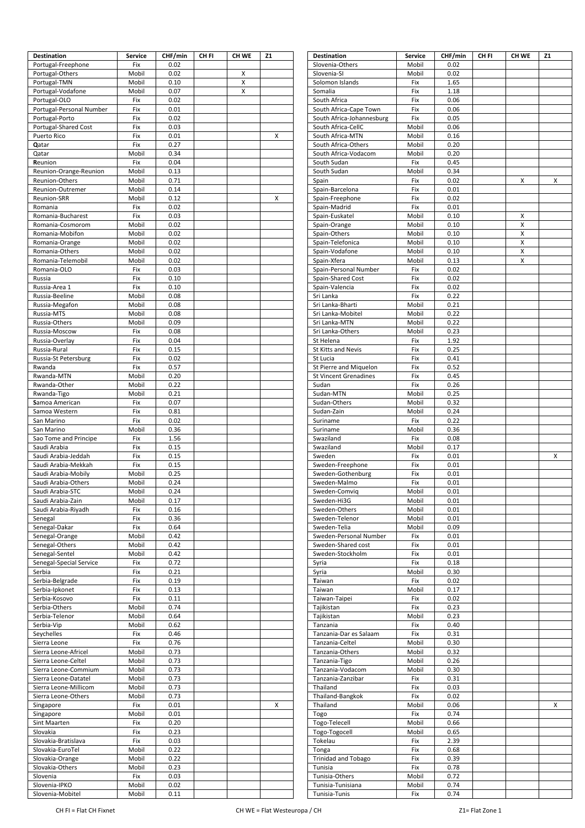| <b>Destination</b>                       | <b>Service</b> | CHF/min      | CH <sub>FI</sub> | <b>CH WE</b> | <b>Z1</b> | <b>Destination</b>                                     | <b>Service</b> | CHF/min      | CH <sub>FI</sub> | CH WE  | <b>Z1</b> |
|------------------------------------------|----------------|--------------|------------------|--------------|-----------|--------------------------------------------------------|----------------|--------------|------------------|--------|-----------|
| Portugal-Freephone                       | Fix            | 0.02         |                  |              |           | Slovenia-Others                                        | Mobil          | 0.02         |                  |        |           |
| Portugal-Others                          | Mobil          | 0.02         |                  | X            |           | Slovenia-SI                                            | Mobil          | 0.02         |                  |        |           |
| Portugal-TMN                             | Mobil          | 0.10         |                  | X            |           | Solomon Islands                                        | Fix            | 1.65         |                  |        |           |
| Portugal-Vodafone                        | Mobil          | 0.07         |                  | X            |           | Somalia                                                | Fix            | 1.18         |                  |        |           |
| Portugal-OLO<br>Portugal-Personal Number | Fix<br>Fix     | 0.02<br>0.01 |                  |              |           | South Africa<br>South Africa-Cape Town                 | Fix<br>Fix     | 0.06<br>0.06 |                  |        |           |
| Portugal-Porto                           | Fix            | 0.02         |                  |              |           | South Africa-Johannesburg                              | Fix            | 0.05         |                  |        |           |
| Portugal-Shared Cost                     | Fix            | 0.03         |                  |              |           | South Africa-CellC                                     | Mobil          | 0.06         |                  |        |           |
| Puerto Rico                              | Fix            | 0.01         |                  |              | X         | South Africa-MTN                                       | Mobil          | 0.16         |                  |        |           |
| Qatar                                    | Fix            | 0.27         |                  |              |           | South Africa-Others                                    | Mobil          | 0.20         |                  |        |           |
| Qatar                                    | Mobil          | 0.34         |                  |              |           | South Africa-Vodacom                                   | Mobil          | 0.20         |                  |        |           |
| Reunion                                  | Fix            | 0.04         |                  |              |           | South Sudan                                            | Fix            | 0.45         |                  |        |           |
| Reunion-Orange-Reunion                   | Mobil          | 0.13         |                  |              |           | South Sudan                                            | Mobil          | 0.34         |                  |        |           |
| Reunion-Others                           | Mobil          | 0.71         |                  |              |           | Spain                                                  | Fix            | 0.02         |                  | X      | х         |
| Reunion-Outremer                         | Mobil          | 0.14         |                  |              |           | Spain-Barcelona                                        | Fix            | 0.01         |                  |        |           |
| Reunion-SRR                              | Mobil          | 0.12         |                  |              | X         | Spain-Freephone                                        | Fix            | 0.02         |                  |        |           |
| Romania                                  | Fix            | 0.02         |                  |              |           | Spain-Madrid                                           | Fix            | 0.01         |                  |        |           |
| Romania-Bucharest                        | Fix            | 0.03<br>0.02 |                  |              |           | Spain-Euskatel                                         | Mobil          | 0.10         |                  | X      |           |
| Romania-Cosmorom<br>Romania-Mobifon      | Mobil<br>Mobil | 0.02         |                  |              |           | Spain-Orange<br>Spain-Others                           | Mobil<br>Mobil | 0.10<br>0.10 |                  | Χ<br>Χ |           |
| Romania-Orange                           | Mobil          | 0.02         |                  |              |           | Spain-Telefonica                                       | Mobil          | 0.10         |                  | Χ      |           |
| Romania-Others                           | Mobil          | 0.02         |                  |              |           | Spain-Vodafone                                         | Mobil          | 0.10         |                  | Χ      |           |
| Romania-Telemobil                        | Mobil          | 0.02         |                  |              |           | Spain-Xfera                                            | Mobil          | 0.13         |                  | X      |           |
| Romania-OLO                              | Fix            | 0.03         |                  |              |           | Spain-Personal Number                                  | Fix            | 0.02         |                  |        |           |
| Russia                                   | Fix            | 0.10         |                  |              |           | Spain-Shared Cost                                      | Fix            | 0.02         |                  |        |           |
| Russia-Area 1                            | Fix            | 0.10         |                  |              |           | Spain-Valencia                                         | Fix            | 0.02         |                  |        |           |
| Russia-Beeline                           | Mobil          | 0.08         |                  |              |           | Sri Lanka                                              | Fix            | 0.22         |                  |        |           |
| Russia-Megafon                           | Mobil          | 0.08         |                  |              |           | Sri Lanka-Bharti                                       | Mobil          | 0.21         |                  |        |           |
| Russia-MTS                               | Mobil          | 0.08         |                  |              |           | Sri Lanka-Mobitel                                      | Mobil          | 0.22         |                  |        |           |
| Russia-Others                            | Mobil          | 0.09         |                  |              |           | Sri Lanka-MTN                                          | Mobil          | 0.22         |                  |        |           |
| Russia-Moscow                            | Fix            | 0.08         |                  |              |           | Sri Lanka-Others                                       | Mobil          | 0.23         |                  |        |           |
| Russia-Overlay                           | Fix            | 0.04         |                  |              |           | St Helena                                              | Fix            | 1.92         |                  |        |           |
| Russia-Rural                             | Fix            | 0.15         |                  |              |           | St Kitts and Nevis                                     | Fix            | 0.25         |                  |        |           |
| Russia-St Petersburg                     | Fix            | 0.02         |                  |              |           | St Lucia                                               | Fix            | 0.41         |                  |        |           |
| Rwanda<br>Rwanda-MTN                     | Fix<br>Mobil   | 0.57<br>0.20 |                  |              |           | St Pierre and Miquelon<br><b>St Vincent Grenadines</b> | Fix<br>Fix     | 0.52<br>0.45 |                  |        |           |
| Rwanda-Other                             | Mobil          | 0.22         |                  |              |           | Sudan                                                  | Fix            | 0.26         |                  |        |           |
| Rwanda-Tigo                              | Mobil          | 0.21         |                  |              |           | Sudan-MTN                                              | Mobil          | 0.25         |                  |        |           |
| Samoa American                           | Fix            | 0.07         |                  |              |           | Sudan-Others                                           | Mobil          | 0.32         |                  |        |           |
| Samoa Western                            | Fix            | 0.81         |                  |              |           | Sudan-Zain                                             | Mobil          | 0.24         |                  |        |           |
| San Marino                               | Fix            | 0.02         |                  |              |           | Suriname                                               | Fix            | 0.22         |                  |        |           |
| San Marino                               | Mobil          | 0.36         |                  |              |           | Suriname                                               | Mobil          | 0.36         |                  |        |           |
| Sao Tome and Principe                    | Fix            | 1.56         |                  |              |           | Swaziland                                              | Fix            | 0.08         |                  |        |           |
| Saudi Arabia                             | Fix            | 0.15         |                  |              |           | Swaziland                                              | Mobil          | 0.17         |                  |        |           |
| Saudi Arabia-Jeddah                      | Fix            | 0.15         |                  |              |           | Sweden                                                 | Fix            | 0.01         |                  |        | х         |
| Saudi Arabia-Mekkah                      | Fix            | 0.15         |                  |              |           | Sweden-Freephone                                       | Fix            | 0.01         |                  |        |           |
| Saudi Arabia-Mobily                      | Mobil          | 0.25         |                  |              |           | Sweden-Gothenburg                                      | Fix            | 0.01         |                  |        |           |
| Saudi Arabia-Others                      | Mobil          | 0.24         |                  |              |           | Sweden-Malmo                                           | Fix            | 0.01         |                  |        |           |
| Saudi Arabia-STC                         | Mobil          | 0.24         |                  |              |           | Sweden-Comviq                                          | Mobil          | 0.01         |                  |        |           |
| Saudi Arabia-Zain<br>Saudi Arabia-Riyadh | Mobil<br>Fix   | 0.17<br>0.16 |                  |              |           | Sweden-Hi3G<br>Sweden-Others                           | Mobil<br>Mobil | 0.01<br>0.01 |                  |        |           |
| Senegal                                  | Fix            | 0.36         |                  |              |           | Sweden-Telenor                                         | Mobil          | 0.01         |                  |        |           |
| Senegal-Dakar                            | Fix            | 0.64         |                  |              |           | Sweden-Telia                                           | Mobil          | 0.09         |                  |        |           |
| Senegal-Orange                           | Mobil          | 0.42         |                  |              |           | Sweden-Personal Number                                 | Fix            | 0.01         |                  |        |           |
| Senegal-Others                           | Mobil          | 0.42         |                  |              |           | Sweden-Shared cost                                     | Fix            | 0.01         |                  |        |           |
| Senegal-Sentel                           | Mobil          | 0.42         |                  |              |           | Sweden-Stockholm                                       | Fix            | 0.01         |                  |        |           |
| Senegal-Special Service                  | Fix            | 0.72         |                  |              |           | Syria                                                  | Fix            | 0.18         |                  |        |           |
| Serbia                                   | Fix            | 0.21         |                  |              |           | Syria                                                  | Mobil          | 0.30         |                  |        |           |
| Serbia-Belgrade                          | Fix            | 0.19         |                  |              |           | Taiwan                                                 | Fix            | 0.02         |                  |        |           |
| Serbia-Ipkonet                           | Fix            | 0.13         |                  |              |           | Taiwan                                                 | Mobil          | 0.17         |                  |        |           |
| Serbia-Kosovo                            | Fix            | 0.11         |                  |              |           | Taiwan-Taipei                                          | Fix            | 0.02         |                  |        |           |
| Serbia-Others                            | Mobil          | 0.74         |                  |              |           | Tajikistan                                             | Fix            | 0.23         |                  |        |           |
| Serbia-Telenor                           | Mobil          | 0.64         |                  |              |           | Tajikistan                                             | Mobil          | 0.23         |                  |        |           |
| Serbia-Vip                               | Mobil<br>Fix   | 0.62<br>0.46 |                  |              |           | Tanzania                                               | Fix<br>Fix     | 0.40<br>0.31 |                  |        |           |
| Seychelles<br>Sierra Leone               | Fix            | 0.76         |                  |              |           | Tanzania-Dar es Salaam<br>Tanzania-Celtel              | Mobil          | 0.30         |                  |        |           |
| Sierra Leone-Africel                     | Mobil          | 0.73         |                  |              |           | Tanzania-Others                                        | Mobil          | 0.32         |                  |        |           |
| Sierra Leone-Celtel                      | Mobil          | 0.73         |                  |              |           | Tanzania-Tigo                                          | Mobil          | 0.26         |                  |        |           |
| Sierra Leone-Commium                     | Mobil          | 0.73         |                  |              |           | Tanzania-Vodacom                                       | Mobil          | 0.30         |                  |        |           |
| Sierra Leone-Datatel                     | Mobil          | 0.73         |                  |              |           | Tanzania-Zanzibar                                      | Fix            | 0.31         |                  |        |           |
| Sierra Leone-Millicom                    | Mobil          | 0.73         |                  |              |           | Thailand                                               | Fix            | 0.03         |                  |        |           |
| Sierra Leone-Others                      | Mobil          | 0.73         |                  |              |           | Thailand-Bangkok                                       | Fix            | 0.02         |                  |        |           |
| Singapore                                | Fix            | 0.01         |                  |              | X         | Thailand                                               | Mobil          | 0.06         |                  |        | х         |
| Singapore                                | Mobil          | 0.01         |                  |              |           | Togo                                                   | Fix            | 0.74         |                  |        |           |
| Sint Maarten                             | Fix            | 0.20         |                  |              |           | Togo-Telecell                                          | Mobil          | 0.66         |                  |        |           |
| Slovakia                                 | Fix            | 0.23         |                  |              |           | Togo-Togocell                                          | Mobil          | 0.65         |                  |        |           |
| Slovakia-Bratislava                      | Fix            | 0.03         |                  |              |           | Tokelau                                                | Fix            | 2.39         |                  |        |           |
| Slovakia-EuroTel                         | Mobil          | 0.22         |                  |              |           | Tonga                                                  | Fix            | 0.68         |                  |        |           |
| Slovakia-Orange                          | Mobil          | 0.22         |                  |              |           | <b>Trinidad and Tobago</b>                             | Fix            | 0.39         |                  |        |           |
| Slovakia-Others                          | Mobil          | 0.23<br>0.03 |                  |              |           | Tunisia                                                | Fix            | 0.78<br>0.72 |                  |        |           |
| Slovenia<br>Slovenia-IPKO                | Fix<br>Mobil   | 0.02         |                  |              |           | Tunisia-Others<br>Tunisia-Tunisiana                    | Mobil<br>Mobil | 0.74         |                  |        |           |
| Slovenia-Mobitel                         | Mobil          | 0.11         |                  |              |           | Tunisia-Tunis                                          | Fix            | 0.74         |                  |        |           |
|                                          |                |              |                  |              |           |                                                        |                |              |                  |        |           |